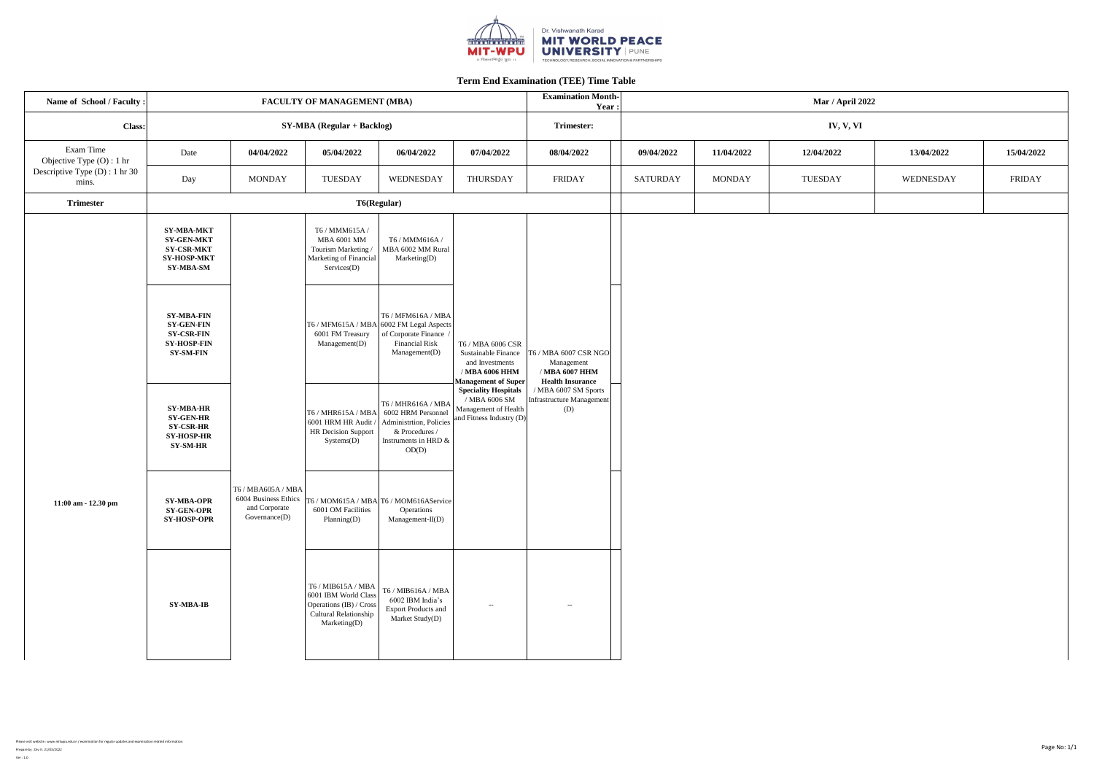| Name of School / Faculty :                                                          | <b>Examination Month-</b><br><b>FACULTY OF MANAGEMENT (MBA)</b><br>Year:                              |                                                                                                                        |                                                                                                                |                                                                                             |                                                                                                                                                                                                          |                                                                                                                                             |                 | <b>Mar / April 2022</b> |                |            |            |  |
|-------------------------------------------------------------------------------------|-------------------------------------------------------------------------------------------------------|------------------------------------------------------------------------------------------------------------------------|----------------------------------------------------------------------------------------------------------------|---------------------------------------------------------------------------------------------|----------------------------------------------------------------------------------------------------------------------------------------------------------------------------------------------------------|---------------------------------------------------------------------------------------------------------------------------------------------|-----------------|-------------------------|----------------|------------|------------|--|
| Class:                                                                              |                                                                                                       |                                                                                                                        | $SY-MBA (Regular + Backlog)$                                                                                   |                                                                                             |                                                                                                                                                                                                          | <b>Trimester:</b>                                                                                                                           | IV, V, VI       |                         |                |            |            |  |
| Exam Time<br>Objective Type $(O)$ : 1 hr<br>Descriptive Type (D) : 1 hr 30<br>mins. | Date                                                                                                  | 04/04/2022                                                                                                             | 05/04/2022                                                                                                     | 06/04/2022                                                                                  | 07/04/2022                                                                                                                                                                                               | 08/04/2022                                                                                                                                  | 09/04/2022      | 11/04/2022              | 12/04/2022     | 13/04/2022 | 15/04/2022 |  |
|                                                                                     | Day                                                                                                   | <b>MONDAY</b>                                                                                                          | <b>TUESDAY</b>                                                                                                 | WEDNESDAY                                                                                   | <b>THURSDAY</b>                                                                                                                                                                                          | <b>FRIDAY</b>                                                                                                                               | <b>SATURDAY</b> | <b>MONDAY</b>           | <b>TUESDAY</b> | WEDNESDAY  | FRIDAY     |  |
| <b>Trimester</b>                                                                    |                                                                                                       |                                                                                                                        | T6(Regular)                                                                                                    |                                                                                             |                                                                                                                                                                                                          |                                                                                                                                             |                 |                         |                |            |            |  |
| 11:00 am - 12.30 pm                                                                 | <b>SY-MBA-MKT</b><br><b>SY-GEN-MKT</b><br><b>SY-CSR-MKT</b><br><b>SY-HOSP-MKT</b><br>SY-MBA-SM        | T6 / MBA605A / MBA<br>6004 Business Ethics $T6 / MOM615A / MBA T6 / MOM616AService)$<br>and Corporate<br>Government(D) | T6 / MMM615A /<br><b>MBA 6001 MM</b><br>Tourism Marketing /<br>Marketing of Financial<br>$S$ ervices $(D)$     | T6 / MMM616A /<br>MBA 6002 MM Rural<br>Marketing(D)                                         | T6 / MBA 6006 CSR<br>Sustainable Finance<br>and Investments<br>/ MBA 6006 HHM<br>Management of Super<br><b>Speciality Hospitals</b><br>/ MBA 6006 SM<br>Management of Health<br>and Fitness Industry (D) | [6 / MBA 6007 CSR NGO]<br>Management<br>/ MBA 6007 HHM<br><b>Health Insurance</b><br>MBA 6007 SM Sports<br>Infrastructure Management<br>(D) |                 |                         |                |            |            |  |
|                                                                                     | <b>SY-MBA-FIN</b><br><b>SY-GEN-FIN</b><br><b>SY-CSR-FIN</b><br><b>SY-HOSP-FIN</b><br><b>SY-SM-FIN</b> |                                                                                                                        | T6 / MFM615A / MBA 6002 FM Legal Aspects<br>6001 FM Treasury<br>Management(D)                                  | T6 / MFM616A / MBA<br>of Corporate Finance /<br><b>Financial Risk</b><br>Management(D)      |                                                                                                                                                                                                          |                                                                                                                                             |                 |                         |                |            |            |  |
|                                                                                     | <b>SY-MBA-HR</b><br><b>SY-GEN-HR</b><br><b>SY-CSR-HR</b><br><b>SY-HOSP-HR</b><br>SY-SM-HR             |                                                                                                                        | T6 / MHR615A / MBA<br>6001 HRM HR Audit / Administrtion, Policies<br>HR Decision Support<br>Systems(D)         | T6 / MHR616A / MBA<br>6002 HRM Personnel<br>& Procedures /<br>Instruments in HRD &<br>OD(D) |                                                                                                                                                                                                          |                                                                                                                                             |                 |                         |                |            |            |  |
|                                                                                     | <b>SY-MBA-OPR</b><br><b>SY-GEN-OPR</b><br><b>SY-HOSP-OPR</b>                                          |                                                                                                                        | 6001 OM Facilities<br>Planning(D)                                                                              | Operations<br>$Management-II(D)$                                                            |                                                                                                                                                                                                          |                                                                                                                                             |                 |                         |                |            |            |  |
|                                                                                     | SY-MBA-IB                                                                                             |                                                                                                                        | T6 / MIB615A / MBA<br>6001 IBM World Class<br>Operations (IB) / Cross<br>Cultural Relationship<br>Marketing(D) | $T6$ / MIB616A / MBA<br>6002 IBM India's<br><b>Export Products and</b><br>Market Study(D)   | $---$                                                                                                                                                                                                    | $--$                                                                                                                                        |                 |                         |                |            |            |  |



Please visit website : www.mitwpu.edu.in / examination for regular updates and examination related information.

Prepare by : Div II : 21/03/2022 Ver : 1.0

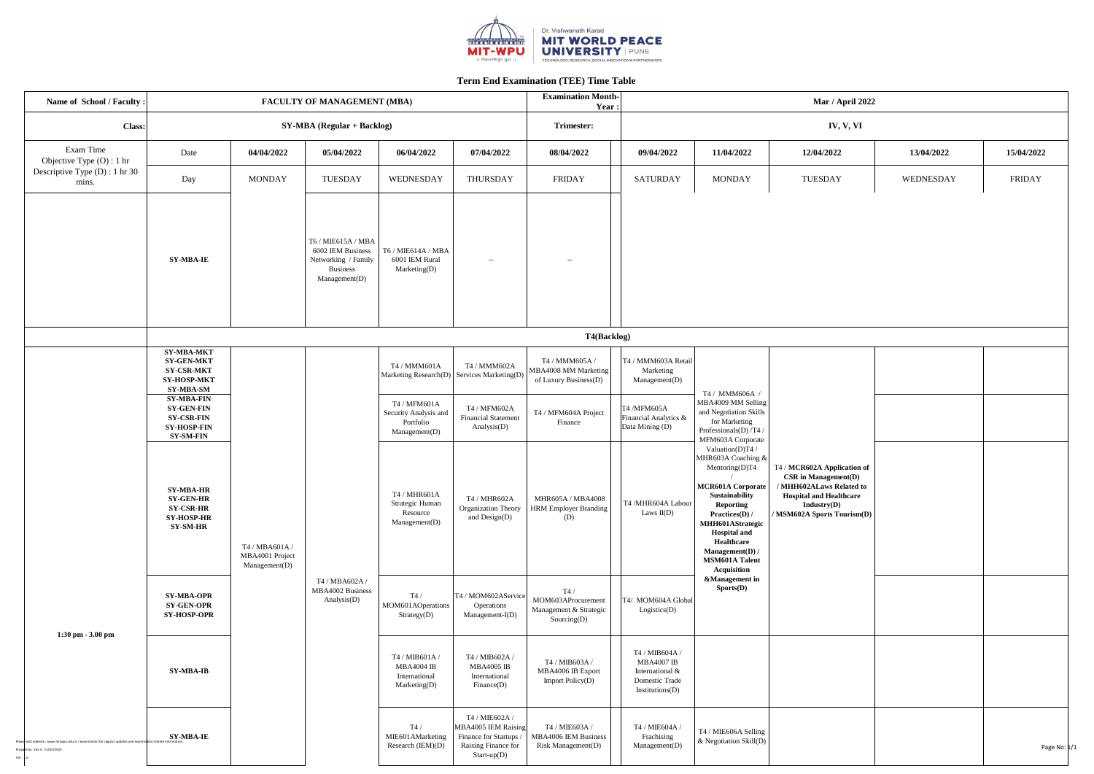

| Name of School / Faculty:                                                                                                                |                                                                                                       |                                                    | <b>FACULTY OF MANAGEMENT (MBA)</b>                                                                 |                                                                      |                                                                                                       | <b>Examination Month-</b><br>Year:                                    |                                                                                             |                                                                                                                                                                                                                                                                                                                                                                                                                                   | <b>Mar / April 2022</b>                                                                                                                                              |            |              |  |
|------------------------------------------------------------------------------------------------------------------------------------------|-------------------------------------------------------------------------------------------------------|----------------------------------------------------|----------------------------------------------------------------------------------------------------|----------------------------------------------------------------------|-------------------------------------------------------------------------------------------------------|-----------------------------------------------------------------------|---------------------------------------------------------------------------------------------|-----------------------------------------------------------------------------------------------------------------------------------------------------------------------------------------------------------------------------------------------------------------------------------------------------------------------------------------------------------------------------------------------------------------------------------|----------------------------------------------------------------------------------------------------------------------------------------------------------------------|------------|--------------|--|
| <b>Class:</b>                                                                                                                            |                                                                                                       |                                                    | $SY-MBA (Regular + Backlog)$                                                                       |                                                                      |                                                                                                       | <b>Trimester:</b>                                                     | IV, V, VI                                                                                   |                                                                                                                                                                                                                                                                                                                                                                                                                                   |                                                                                                                                                                      |            |              |  |
| Exam Time<br>Objective Type $(O)$ : 1 hr                                                                                                 | Date                                                                                                  | 04/04/2022                                         | 05/04/2022                                                                                         | 06/04/2022                                                           | 07/04/2022                                                                                            | 08/04/2022                                                            | 09/04/2022                                                                                  | 11/04/2022                                                                                                                                                                                                                                                                                                                                                                                                                        | 12/04/2022                                                                                                                                                           | 13/04/2022 | 15/04/2022   |  |
| Descriptive Type (D) : 1 hr 30<br>mins.                                                                                                  | Day                                                                                                   | <b>MONDAY</b>                                      | <b>TUESDAY</b>                                                                                     | WEDNESDAY                                                            | THURSDAY                                                                                              | FRIDAY                                                                | SATURDAY                                                                                    | <b>MONDAY</b>                                                                                                                                                                                                                                                                                                                                                                                                                     | TUESDAY                                                                                                                                                              | WEDNESDAY  | FRIDAY       |  |
|                                                                                                                                          | <b>SY-MBA-IE</b>                                                                                      |                                                    | T6 / MIE615A / MBA<br>6002 IEM Business<br>Networking / Family<br><b>Business</b><br>Management(D) | T6 / MIE614A / MBA<br>6001 IEM Rural<br>Marketing(D)                 | $--$                                                                                                  | $--$                                                                  |                                                                                             |                                                                                                                                                                                                                                                                                                                                                                                                                                   |                                                                                                                                                                      |            |              |  |
|                                                                                                                                          |                                                                                                       |                                                    |                                                                                                    |                                                                      |                                                                                                       | <b>T4(Backlog)</b>                                                    |                                                                                             |                                                                                                                                                                                                                                                                                                                                                                                                                                   |                                                                                                                                                                      |            |              |  |
|                                                                                                                                          | SY-MBA-MKT<br><b>SY-GEN-MKT</b><br><b>SY-CSR-MKT</b><br><b>SY-HOSP-MKT</b><br>SY-MBA-SM               |                                                    |                                                                                                    | T4 / MMM601A<br>Marketing Research(D) Services Marketing(D)          | T4 / MMM602A                                                                                          | T4 / MMM605A /<br>MBA4008 MM Marketing<br>of Luxury Business(D)       | T4 / MMM603A Retail<br>Marketing<br>Management(D)                                           | T4 / MMM606A /                                                                                                                                                                                                                                                                                                                                                                                                                    | T4 / MCR602A Application of<br><b>CSR</b> in Management(D)<br>MHH602ALaws Related to<br><b>Hospital and Healthcare</b><br>Industry(D)<br>/ MSM602A Sports Tourism(D) |            |              |  |
|                                                                                                                                          | <b>SY-MBA-FIN</b><br><b>SY-GEN-FIN</b><br><b>SY-CSR-FIN</b><br><b>SY-HOSP-FIN</b><br><b>SY-SM-FIN</b> |                                                    | T4 / MBA602A /<br>MBA4002 Business<br>Analysis(D)                                                  | T4 / MFM601A<br>Security Analysis and<br>Portfolio<br>Management(D)  | T4 / MFM602A<br><b>Financial Statement</b><br>Analysis(D)                                             | T4 / MFM604A Project<br>Finance                                       | <b>T4 /MFM605A</b><br>Financial Analytics &<br>Data Mining (D)                              | MBA4009 MM Selling<br>and Negotiation Skills<br>for Marketing<br>Professionals(D) /T4 /<br>MFM603A Corporate<br>Valuation(D)T4 /<br>MHR603A Coaching &<br>Mentoring(D)T4<br><b>MCR601A Corporate</b><br>Sustainability<br><b>Reporting</b><br>Practices(D) /<br>MHH601AStrategic<br><b>Hospital and</b><br>Healthcare<br>Management(D) /<br><b>MSM601A Talent</b><br><b>Acquisition</b><br><b>&amp;Management</b> in<br>Sports(D) |                                                                                                                                                                      |            |              |  |
|                                                                                                                                          | <b>SY-MBA-HR</b><br><b>SY-GEN-HR</b><br><b>SY-CSR-HR</b><br><b>SY-HOSP-HR</b><br><b>SY-SM-HR</b>      | T4 / MBA601A /<br>MBA4001 Project<br>Management(D) |                                                                                                    | T4 / MHR601A<br>Strategic Human<br>Resource<br>Management(D)         | T4 / MHR602A<br><b>Organization Theory</b><br>and $Design(D)$                                         | <b>MHR605A / MBA4008</b><br>HRM Employer Branding<br>(D)              | T4 /MHR604A Labour<br>Laws $II(D)$                                                          |                                                                                                                                                                                                                                                                                                                                                                                                                                   |                                                                                                                                                                      |            |              |  |
| $1:30$ pm $-3.00$ pm                                                                                                                     | <b>SY-MBA-OPR</b><br><b>SY-GEN-OPR</b><br><b>SY-HOSP-OPR</b>                                          |                                                    |                                                                                                    | T4/<br>MOM601AOperations<br>Strategy(D)                              | T4 / MOM602AService<br>Operations<br>$Management-I(D)$                                                | T4/<br>MOM603AProcurement<br>Management & Strategic<br>Sourcing $(D)$ | T4/ MOM604A Global<br>Logistics(D)                                                          |                                                                                                                                                                                                                                                                                                                                                                                                                                   |                                                                                                                                                                      |            |              |  |
|                                                                                                                                          | SY-MBA-IB                                                                                             |                                                    |                                                                                                    | T4 / MIB601A /<br><b>MBA4004 IB</b><br>International<br>Marketing(D) | T4 / MIB602A /<br><b>MBA4005 IB</b><br>International<br>Finance(D)                                    | T4 / MIB603A /<br>MBA4006 IB Export<br><b>Import Policy(D)</b>        | T4 / MIB604A /<br><b>MBA4007 IB</b><br>International &<br>Domestic Trade<br>Institutions(D) |                                                                                                                                                                                                                                                                                                                                                                                                                                   |                                                                                                                                                                      |            |              |  |
| visit website: www.mitwpu.edu.in / examination for regular updates and examination related information<br>Prepare by: Div II: 21/03/2022 | <b>SY-MBA-IE</b>                                                                                      |                                                    |                                                                                                    | T4/<br>MIE601AMarketing<br>Research $(IEM)(D)$                       | T4 / MIE602A /<br>MBA4005 IEM Raising<br>Finance for Startups<br>Raising Finance for<br>$Start-up(D)$ | T4 / MIE603A /<br>MBA4006 IEM Business<br><b>Risk Management(D)</b>   | T4 / MIE604A /<br>Frachising<br>Management(D)                                               | T4 / MIE606A Selling<br>& Negotiation Skill(D)                                                                                                                                                                                                                                                                                                                                                                                    |                                                                                                                                                                      |            | Page No: 1/1 |  |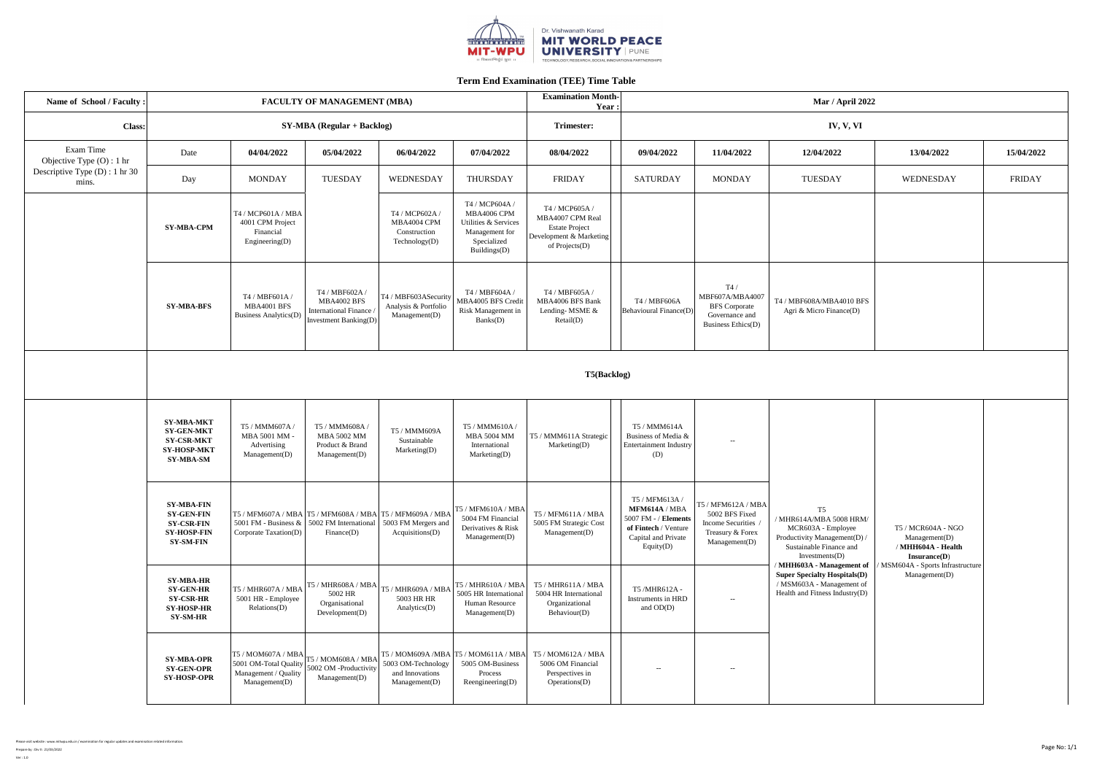

| Name of School / Faculty :<br><b>FACULTY OF MANAGEMENT (MBA)</b> |                                                                                                       |                                                                                  |                                                                                                                                                         |                                                                | <b>Examination Month-</b>                                                                              | <b>Mar / April 2022</b><br>Year:                                                                         |                                                                                                                                |                                                                                                  |                                                                                                                                                                                                                                                                                  |                                                                           |               |
|------------------------------------------------------------------|-------------------------------------------------------------------------------------------------------|----------------------------------------------------------------------------------|---------------------------------------------------------------------------------------------------------------------------------------------------------|----------------------------------------------------------------|--------------------------------------------------------------------------------------------------------|----------------------------------------------------------------------------------------------------------|--------------------------------------------------------------------------------------------------------------------------------|--------------------------------------------------------------------------------------------------|----------------------------------------------------------------------------------------------------------------------------------------------------------------------------------------------------------------------------------------------------------------------------------|---------------------------------------------------------------------------|---------------|
| Class:                                                           |                                                                                                       | $SY-MBA (Regular + Backlog)$                                                     |                                                                                                                                                         |                                                                |                                                                                                        | <b>Trimester:</b>                                                                                        | IV, V, VI                                                                                                                      |                                                                                                  |                                                                                                                                                                                                                                                                                  |                                                                           |               |
| Exam Time<br>Objective Type $(O)$ : 1 hr                         | Date                                                                                                  | 04/04/2022                                                                       | 05/04/2022                                                                                                                                              | 06/04/2022                                                     | 07/04/2022                                                                                             | 08/04/2022                                                                                               | 09/04/2022                                                                                                                     | 11/04/2022                                                                                       | 12/04/2022                                                                                                                                                                                                                                                                       | 13/04/2022                                                                | 15/04/2022    |
| Descriptive Type $(D)$ : 1 hr 30<br>mins.                        | Day                                                                                                   | <b>MONDAY</b>                                                                    | TUESDAY                                                                                                                                                 | WEDNESDAY                                                      | THURSDAY                                                                                               | <b>FRIDAY</b>                                                                                            | SATURDAY                                                                                                                       | <b>MONDAY</b>                                                                                    | TUESDAY                                                                                                                                                                                                                                                                          | WEDNESDAY                                                                 | <b>FRIDAY</b> |
|                                                                  | <b>SY-MBA-CPM</b>                                                                                     | T4 / MCP601A / MBA<br>4001 CPM Project<br>Financial<br>Engineering $(D)$         |                                                                                                                                                         | T4 / MCP602A /<br>MBA4004 CPM<br>Construction<br>Technology(D) | T4 / MCP604A /<br>MBA4006 CPM<br>Utilities & Services<br>Management for<br>Specialized<br>Buildings(D) | T4 / MCP605A /<br>MBA4007 CPM Real<br><b>Estate Project</b><br>Development & Marketing<br>of Projects(D) |                                                                                                                                |                                                                                                  |                                                                                                                                                                                                                                                                                  |                                                                           |               |
|                                                                  | <b>SY-MBA-BFS</b>                                                                                     | T4 / MBF601A /<br><b>MBA4001 BFS</b><br><b>Business Analytics(D)</b>             | T4 / MBF602A /<br><b>MBA4002 BFS</b><br><b>International Finance</b><br><b>Investment Banking(D)</b>                                                    | T4 / MBF603ASecurity<br>Analysis & Portfolio<br>Management(D)  | T4 / MBF604A /<br>MBA4005 BFS Credit<br>Risk Management in<br>Banks(D)                                 | T4 / MBF605A /<br>MBA4006 BFS Bank<br>Lending-MSME &<br>Retail(D)                                        | T4 / MBF606A<br>Behavioural Finance(D)                                                                                         | T4/<br>MBF607A/MBA4007<br><b>BFS</b> Corporate<br>Governance and<br>Business Ethics(D)           | T4 / MBF608A/MBA4010 BFS<br>Agri & Micro Finance(D)                                                                                                                                                                                                                              |                                                                           |               |
| <b>T5(Backlog)</b>                                               |                                                                                                       |                                                                                  |                                                                                                                                                         |                                                                |                                                                                                        |                                                                                                          |                                                                                                                                |                                                                                                  |                                                                                                                                                                                                                                                                                  |                                                                           |               |
|                                                                  | <b>SY-MBA-MKT</b><br><b>SY-GEN-MKT</b><br><b>SY-CSR-MKT</b><br><b>SY-HOSP-MKT</b><br><b>SY-MBA-SM</b> | T5 / MMM607A /<br>MBA 5001 MM ·<br>Advertising<br>Management(D)                  | T5 / MMM608A /<br>MBA 5002 MM<br>Product & Brand<br>Management(D)                                                                                       | T5 / MMM609A<br>Sustainable<br>Marketing(D)                    | T5 / MMM610A /<br><b>MBA 5004 MM</b><br>International<br>Marketing(D)                                  | T5 / MMM611A Strategic<br>Marketing(D)                                                                   | T5 / MMM614A<br>Business of Media &<br><b>Entertainment Industry</b><br>(D)                                                    | $  \,$                                                                                           | T <sub>5</sub><br>/ MHR614A/MBA 5008 HRM/<br>MCR603A - Employee<br>Productivity Management(D) /<br>Sustainable Finance and<br>Investments $(D)$<br>MHH603A - Management of<br><b>Super Specialty Hospitals(D)</b><br>/ MSM603A - Management of<br>Health and Fitness Industry(D) |                                                                           |               |
|                                                                  | <b>SY-MBA-FIN</b><br><b>SY-GEN-FIN</b><br><b>SY-CSR-FIN</b><br><b>SY-HOSP-FIN</b><br><b>SY-SM-FIN</b> | Corporate Taxation(D)                                                            | $T5$ / MFM607A / MBA $T5$ / MFM608A / MBA $T5$ / MFM609A / MBA<br>5001 FM - Business $\&$   5002 FM International<br>Finance(D)                         | 5003 FM Mergers and<br>Acquisitions(D)                         | TS/MFM610A/MBA<br>5004 FM Financial<br>Derivatives & Risk<br>Management(D)                             | T5 / MFM611A / MBA<br>5005 FM Strategic Cost<br>Management(D)                                            | T5 / MFM613A /<br>MFM614A / MBA<br>5007 FM - / <b>Elements</b><br>of Fintech / Venture<br>Capital and Private<br>Equity( $D$ ) | T5 / MFM612A / MBA<br>5002 BFS Fixed<br>Income Securities /<br>Treasury & Forex<br>Management(D) |                                                                                                                                                                                                                                                                                  | T5 / MCR604A - NGO<br>Management(D)<br>/ MHH604A - Health<br>Insurance(D) |               |
|                                                                  | <b>SY-MBA-HR</b><br><b>SY-GEN-HR</b><br><b>SY-CSR-HR</b><br><b>SY-HOSP-HR</b><br><b>SY-SM-HR</b>      | T5 / MHR607A / MBA<br>5001 HR - Employee<br>Relationship()                       | $\left.\sqrt{\text{TS}\text{/} \text{MHR608A}\text{/} \text{MBA}}\right $ T5 / MHR609A / MBA $^\text{I}$<br>5002 HR<br>Organisational<br>Development(D) | 5003 HR HR<br>Analytics $(D)$                                  | TS/MHR610A/MBA<br>5005 HR International<br><b>Human Resource</b><br>Management(D)                      | T5 / MHR611A / MBA<br>5004 HR International<br>Organizational<br>Behaviour(D)                            | T5 /MHR612A -<br>Instruments in HRD<br>and $OD(D)$                                                                             | $  \,$                                                                                           |                                                                                                                                                                                                                                                                                  | MSM604A - Sports Infrastructure<br>Management(D)                          |               |
|                                                                  | <b>SY-MBA-OPR</b><br><b>SY-GEN-OPR</b><br><b>SY-HOSP-OPR</b>                                          | T5/MOM607A/MBA<br>5001 OM-Total Quality<br>Management / Quality<br>Management(D) | T5 / MOM608A / MBA<br>5002 OM -Productivity<br>Management(D)                                                                                            | 5003 OM-Technology<br>and Innovations<br>Management(D)         | T5 / MOM609A /MBA   T5 / MOM611A / MBA  <br>5005 OM-Business<br>Process<br>Reengineering $(D)$         | T5 / MOM612A / MBA<br>5006 OM Financial<br>Perspectives in<br>Operations(D)                              | $ -$                                                                                                                           | $--$                                                                                             |                                                                                                                                                                                                                                                                                  |                                                                           |               |

Please visit website : www.mitwpu.edu.in / examination for regular updates and examination related information.

Prepare by : Div II : 21/03/2022

Ver : 1.0